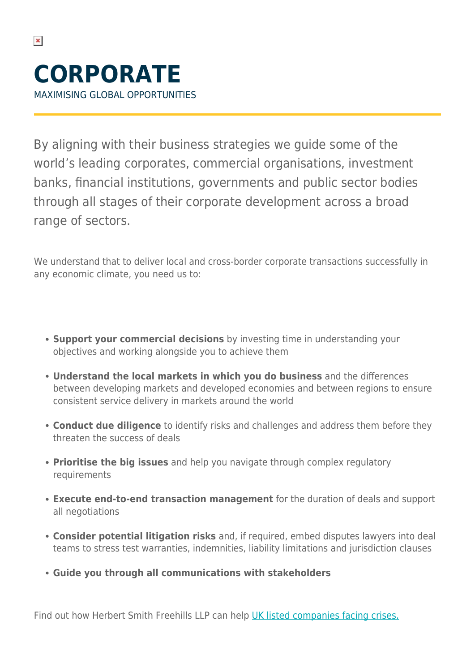$\pmb{\times}$ 

By aligning with their business strategies we guide some of the world's leading corporates, commercial organisations, investment banks, financial institutions, governments and public sector bodies through all stages of their corporate development across a broad range of sectors.

We understand that to deliver local and cross-border corporate transactions successfully in any economic climate, you need us to:

- **Support your commercial decisions** by investing time in understanding your objectives and working alongside you to achieve them
- **Understand the local markets in which you do business** and the differences between developing markets and developed economies and between regions to ensure consistent service delivery in markets around the world
- **Conduct due diligence** to identify risks and challenges and address them before they threaten the success of deals
- **Prioritise the big issues** and help you navigate through complex regulatory requirements
- **Execute end-to-end transaction management** for the duration of deals and support all negotiations
- **Consider potential litigation risks** and, if required, embed disputes lawyers into deal teams to stress test warranties, indemnities, liability limitations and jurisdiction clauses
- **Guide you through all communications with stakeholders**

Find out how Herbert Smith Freehills LLP can help [UK listed companies facing crises.](https://www.herbertsmithfreehills.com/file/31761/download?token=-nQCQvJ4)